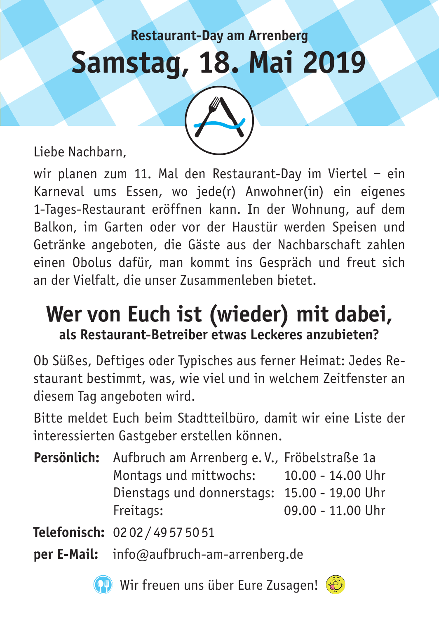# **Restaurant-Day am Arrenberg Samstag, 18. Mai 2019**

Liebe Nachbarn,

wir planen zum 11. Mal den Restaurant-Day im Viertel – ein Karneval ums Essen, wo jede(r) Anwohner(in) ein eigenes 1-Tages-Restaurant eröffnen kann. In der Wohnung, auf dem Balkon, im Garten oder vor der Haustür werden Speisen und Getränke angeboten, die Gäste aus der Nachbarschaft zahlen einen Obolus dafür, man kommt ins Gespräch und freut sich an der Vielfalt, die unser Zusammenleben bietet.

#### **Wer von Euch ist (wieder) mit dabei, als Restaurant-Betreiber etwas Leckeres anzubieten?**

Ob Süßes, Deftiges oder Typisches aus ferner Heimat: Jedes Restaurant bestimmt, was, wie viel und in welchem Zeitfenster an diesem Tag angeboten wird.

Bitte meldet Euch beim Stadtteilbüro, damit wir eine Liste der interessierten Gastgeber erstellen können.

**Persönlich:** Aufbruch am Arrenberg e. V., Fröbelstraße 1a Montags und mittwochs: 10.00 - 14.00 Uhr Dienstags und donnerstags: 15.00 - 19.00 Uhr Freitags: 09.00 - 11.00 Uhr

**Telefonisch:** 02 02 / 49 57 50 51

**per E-Mail:** info@aufbruch-am-arrenberg.de



Wir freuen uns über Eure Zusagen! ( $\hat{P}$ 

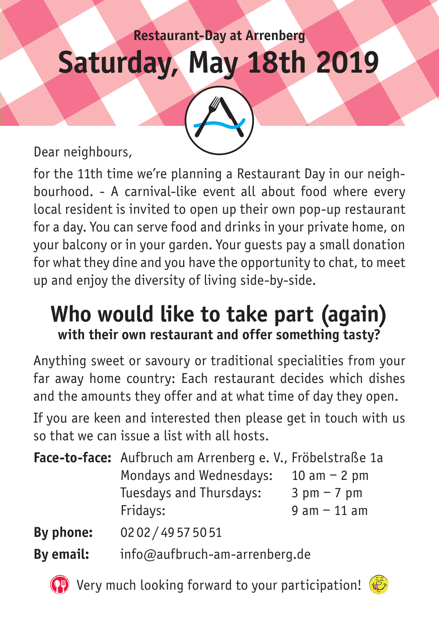## **Restaurant-Day at Arrenberg Saturday, May 18th 2019**

Dear neighbours,

for the 11th time we're planning a Restaurant Day in our neighbourhood. - A carnival-like event all about food where every local resident is invited to open up their own pop-up restaurant for a day. You can serve food and drinks in your private home, on your balcony or in your garden. Your guests pay a small donation for what they dine and you have the opportunity to chat, to meet up and enjoy the diversity of living side-by-side.

#### **Who would like to take part (again) with their own restaurant and offer something tasty?**

Anything sweet or savoury or traditional specialities from your far away home country: Each restaurant decides which dishes and the amounts they offer and at what time of day they open. If you are keen and interested then please get in touch with us so that we can issue a list with all hosts.

|           | <b>Face-to-face:</b> Aufbruch am Arrenberg e. V., Fröbelstraße 1a |                |
|-----------|-------------------------------------------------------------------|----------------|
|           | Mondays and Wednesdays:                                           | 10 am $- 2$ pm |
|           | Tuesdays and Thursdays:                                           | $3$ pm $-7$ pm |
|           | Fridays:                                                          | $9 am - 11 am$ |
| By phone: | 0202/49575051                                                     |                |
| By email: | info@aufbruch-am-arrenberg.de                                     |                |

 $\left( \begin{matrix} \bullet \\ \bullet \end{matrix} \right)$  Very much looking forward to your participation!  $\left( \begin{matrix} \bullet \\ \bullet \end{matrix} \right)$ 

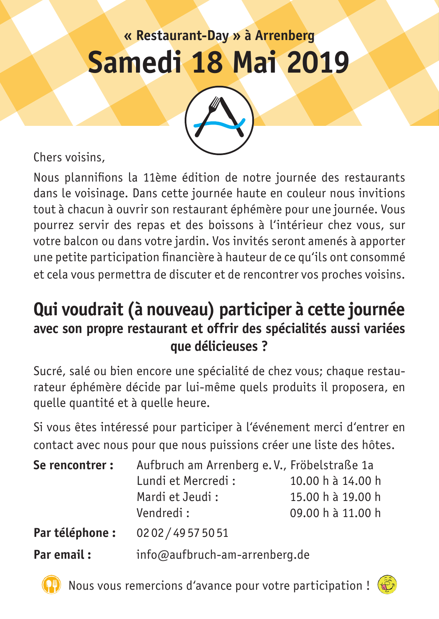### **« Restaurant-Day » à Arrenberg Samedi 18 Mai 2019**



Chers voisins,

Nous plannifions la 11ème édition de notre journée des restaurants dans le voisinage. Dans cette journée haute en couleur nous invitions tout à chacun à ouvrir son restaurant éphémère pour une journée. Vous pourrez servir des repas et des boissons à l'intérieur chez vous, sur votre balcon ou dans votre jardin. Vos invités seront amenés à apporter une petite participation financière à hauteur de ce qu'ils ont consommé et cela vous permettra de discuter et de rencontrer vos proches voisins.

#### **Qui voudrait (à nouveau) participer à cette journée avec son propre restaurant et offrir des spécialités aussi variées que délicieuses ?**

Sucré, salé ou bien encore une spécialité de chez vous; chaque restaurateur éphémère décide par lui-même quels produits il proposera, en quelle quantité et à quelle heure.

Si vous êtes intéressé pour participer à l'événement merci d'entrer en contact avec nous pour que nous puissions créer une liste des hôtes.

| Se rencontrer : | Aufbruch am Arrenberg e.V., Fröbelstraße 1a |                   |
|-----------------|---------------------------------------------|-------------------|
|                 | Lundi et Mercredi :                         | 10.00 h à 14.00 h |
|                 | Mardi et Jeudi:                             | 15.00 h à 19.00 h |
|                 | Vendredi:                                   | 09.00 h à 11.00 h |
| Par téléphone : | 0202/49575051                               |                   |
| Par email:      | info@aufbruch-am-arrenberg.de               |                   |

Nous vous remercions d'avance pour votre participation !